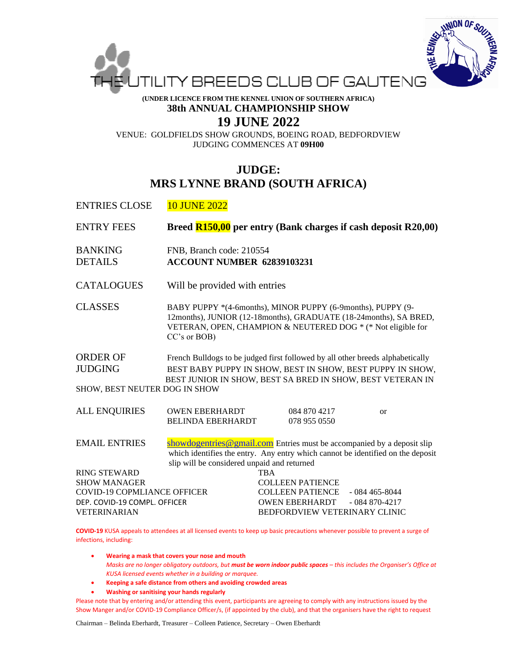

**(UNDER LICENCE FROM THE KENNEL UNION OF SOUTHERN AFRICA) 38th ANNUAL CHAMPIONSHIP SHOW**

## **19 JUNE 2022**

VENUE: GOLDFIELDS SHOW GROUNDS, BOEING ROAD, BEDFORDVIEW JUDGING COMMENCES AT **09H00**

## **JUDGE: MRS LYNNE BRAND (SOUTH AFRICA)**

ENTRIES CLOSE 10 JUNE 2022

| <b>ENTRY FEES</b>                                                                                                                       | Breed R150,00 per entry (Bank charges if cash deposit R20,00)                                                                                                                                                         |            |                                                                             |                                                                                 |
|-----------------------------------------------------------------------------------------------------------------------------------------|-----------------------------------------------------------------------------------------------------------------------------------------------------------------------------------------------------------------------|------------|-----------------------------------------------------------------------------|---------------------------------------------------------------------------------|
| <b>BANKING</b><br><b>DETAILS</b>                                                                                                        | FNB, Branch code: 210554<br><b>ACCOUNT NUMBER 62839103231</b>                                                                                                                                                         |            |                                                                             |                                                                                 |
| <b>CATALOGUES</b>                                                                                                                       | Will be provided with entries                                                                                                                                                                                         |            |                                                                             |                                                                                 |
| <b>CLASSES</b>                                                                                                                          | BABY PUPPY *(4-6months), MINOR PUPPY (6-9months), PUPPY (9-<br>12months), JUNIOR (12-18months), GRADUATE (18-24months), SA BRED,<br>VETERAN, OPEN, CHAMPION & NEUTERED DOG * (* Not eligible for<br>$CC's$ or $BOB$ ) |            |                                                                             |                                                                                 |
| <b>ORDER OF</b><br><b>JUDGING</b><br>SHOW, BEST NEUTER DOG IN SHOW                                                                      | French Bulldogs to be judged first followed by all other breeds alphabetically<br>BEST BABY PUPPY IN SHOW, BEST IN SHOW, BEST PUPPY IN SHOW,<br>BEST JUNIOR IN SHOW, BEST SA BRED IN SHOW, BEST VETERAN IN            |            |                                                                             |                                                                                 |
| <b>ALL ENQUIRIES</b>                                                                                                                    | <b>OWEN EBERHARDT</b><br><b>BELINDA EBERHARDT</b>                                                                                                                                                                     |            | 084 870 4217<br>078 955 0550                                                | $\alpha$                                                                        |
| <b>EMAIL ENTRIES</b>                                                                                                                    | showdogentries@gmail.com Entries must be accompanied by a deposit slip<br>slip will be considered unpaid and returned                                                                                                 |            |                                                                             | which identifies the entry. Any entry which cannot be identified on the deposit |
| <b>RING STEWARD</b><br><b>SHOW MANAGER</b><br><b>COVID-19 COPMLIANCE OFFICER</b><br>DEP. COVID-19 COMPL. OFFICER<br><b>VETERINARIAN</b> |                                                                                                                                                                                                                       | <b>TBA</b> | <b>COLLEEN PATIENCE</b><br><b>COLLEEN PATIENCE</b><br><b>OWEN EBERHARDT</b> | $-084465 - 8044$<br>$-084870-4217$<br><b>BEDFORDVIEW VETERINARY CLINIC</b>      |

**COVID-19** KUSA appeals to attendees at all licensed events to keep up basic precautions whenever possible to prevent a surge of infections, including:

• **Wearing a mask that covers your nose and mouth** *Masks are no longer obligatory outdoors, but must be worn indoor public spaces – this includes the Organiser's Office at KUSA licensed events whether in a building or marquee.*

- **Keeping a safe distance from others and avoiding crowded areas**
- **Washing or sanitising your hands regularly**

Please note that by entering and/or attending this event, participants are agreeing to comply with any instructions issued by the Show Manger and/or COVID-19 Compliance Officer/s, (if appointed by the club), and that the organisers have the right to request

Chairman – Belinda Eberhardt, Treasurer – Colleen Patience, Secretary – Owen Eberhardt